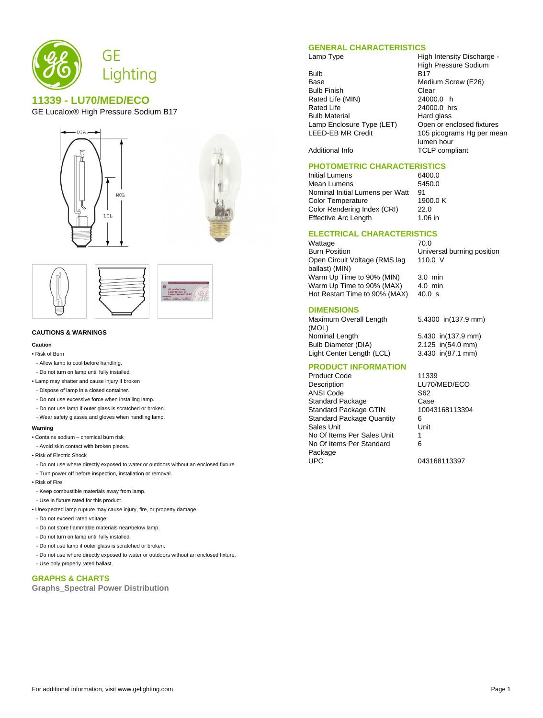

# **11339 - LU70/MED/ECO**

GE Lucalox® High Pressure Sodium B17







#### **CAUTIONS & WARNINGS**

#### **Caution**

• Risk of Burn

- Allow lamp to cool before handling.
- Do not turn on lamp until fully installed.
- Lamp may shatter and cause injury if broken
- Dispose of lamp in a closed container.
- Do not use excessive force when installing lamp.
- Do not use lamp if outer glass is scratched or broken.
- Wear safety glasses and gloves when handling lamp.

### **Warning**

- Contains sodium chemical burn risk
- Avoid skin contact with broken pieces.
- Risk of Electric Shock
- Do not use where directly exposed to water or outdoors without an enclosed fixture.
- Turn power off before inspection, installation or removal.
- Risk of Fire
- Keep combustible materials away from lamp.
- Use in fixture rated for this product.
- Unexpected lamp rupture may cause injury, fire, or property damage
- Do not exceed rated voltage.
- Do not store flammable materials near/below lamp.
- Do not turn on lamp until fully installed.
- Do not use lamp if outer glass is scratched or broken.
- Do not use where directly exposed to water or outdoors without an enclosed fixture.
- Use only properly rated ballast.

# **GRAPHS & CHARTS**

**Graphs\_Spectral Power Distribution**

# **GENERAL CHARACTERISTICS**

- Bulb B17<br>Base Med Bulb Finish Clear<br>Rated Life (MIN) 24000.0 h Rated Life (MIN) Rated Life 24000.0 hrs Bulb Material **Hard glass**<br>Lamp Enclosure Type (LET) Open or enclosed fixtures Lamp Enclosure Type (LET)<br>LEED-EB MR Credit
- Lamp Type **High Intensity Discharge -**High Pressure Sodium Medium Screw (E26) 105 picograms Hg per mean lumen hour Additional Info TCLP compliant

## **PHOTOMETRIC CHARACTERISTICS**

Initial Lumens 6400.0 Mean Lumens<br>Nominal Initial Lumens per Watt 91 Nominal Initial Lumens per Watt 91<br>Color Temperature 1900.0 K Color Temperature 1900<br>Color Rendering Index (CRI) 22.0 Color Rendering Index (CRI) Effective Arc Length 1.06 in

### **ELECTRICAL CHARACTERISTICS**

Wattage 70.0<br>Burn Position 70.0 Open Circuit Voltage (RMS lag ballast) (MIN) Warm Up Time to 90% (MIN) 3.0 min<br>Warm Up Time to 90% (MAX) 4.0 min Warm Up Time to  $90\%$  (MAX) Hot Restart Time to 90% (MAX) 40.0 s

Universal burning position 110.0 V

#### **DIMENSIONS**

Maximum Overall Length (MOL) Nominal Length 5.430 in(137.9 mm) Bulb Diameter (DIA) 2.125 in(54.0 mm) Light Center Length (LCL) 3.430 in(87.1 mm)

5.4300 in(137.9 mm)

## **PRODUCT INFORMATION**

Product Code 11339<br>Description LU70/I **ANSI** Code Standard Package Case<br>
Standard Package GTIN 10043168113394 Standard Package GTIN Standard Package Quantity 6<br>Sales Unit 6 **Sales Unit** No Of Items Per Sales Unit 1 No Of Items Per Standard Package<br>UPC

LU70/MED/ECO<br>S62 6 043168113397